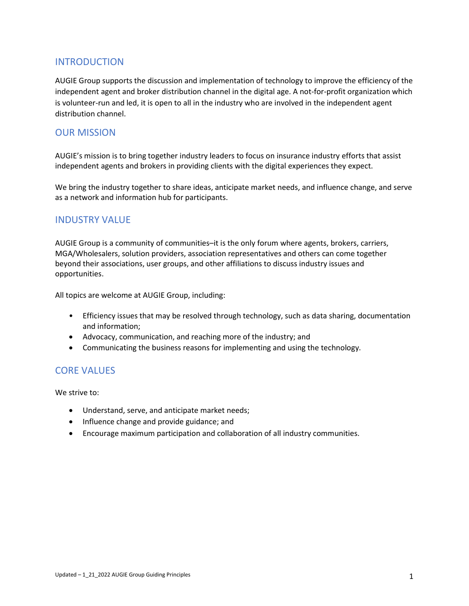### INTRODUCTION

AUGIE Group supports the discussion and implementation of technology to improve the efficiency of the independent agent and broker distribution channel in the digital age. A not-for-profit organization which is volunteer-run and led, it is open to all in the industry who are involved in the independent agent distribution channel.

### OUR MISSION

AUGIE's mission is to bring together industry leaders to focus on insurance industry efforts that assist independent agents and brokers in providing clients with the digital experiences they expect.

We bring the industry together to share ideas, anticipate market needs, and influence change, and serve as a network and information hub for participants.

#### INDUSTRY VALUE

AUGIE Group is a community of communities–it is the only forum where agents, brokers, carriers, MGA/Wholesalers, solution providers, association representatives and others can come together beyond their associations, user groups, and other affiliations to discuss industry issues and opportunities.

All topics are welcome at AUGIE Group, including:

- Efficiency issues that may be resolved through technology, such as data sharing, documentation and information;
- Advocacy, communication, and reaching more of the industry; and
- Communicating the business reasons for implementing and using the technology.

#### CORE VALUES

We strive to:

- Understand, serve, and anticipate market needs;
- Influence change and provide guidance; and
- Encourage maximum participation and collaboration of all industry communities.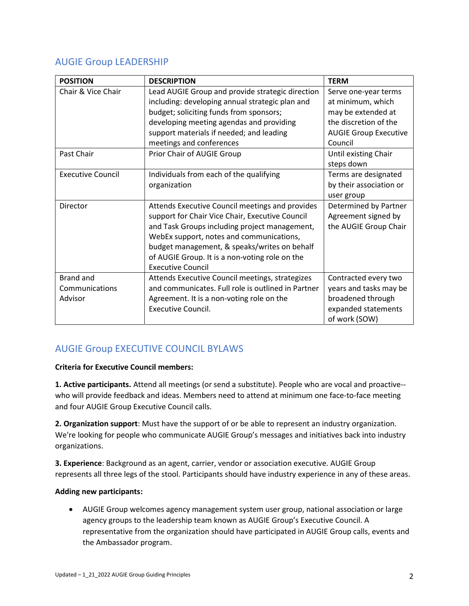# AUGIE Group LEADERSHIP

| <b>POSITION</b>          | <b>DESCRIPTION</b>                                 | <b>TERM</b>                  |
|--------------------------|----------------------------------------------------|------------------------------|
| Chair & Vice Chair       | Lead AUGIE Group and provide strategic direction   | Serve one-year terms         |
|                          | including: developing annual strategic plan and    | at minimum, which            |
|                          | budget; soliciting funds from sponsors;            | may be extended at           |
|                          | developing meeting agendas and providing           | the discretion of the        |
|                          | support materials if needed; and leading           | <b>AUGIE Group Executive</b> |
|                          | meetings and conferences                           | Council                      |
| Past Chair               | Prior Chair of AUGIE Group                         | Until existing Chair         |
|                          |                                                    | steps down                   |
| <b>Executive Council</b> | Individuals from each of the qualifying            | Terms are designated         |
|                          | organization                                       | by their association or      |
|                          |                                                    | user group                   |
| Director                 | Attends Executive Council meetings and provides    | Determined by Partner        |
|                          | support for Chair Vice Chair, Executive Council    | Agreement signed by          |
|                          | and Task Groups including project management,      | the AUGIE Group Chair        |
|                          | WebEx support, notes and communications,           |                              |
|                          | budget management, & speaks/writes on behalf       |                              |
|                          | of AUGIE Group. It is a non-voting role on the     |                              |
|                          | <b>Executive Council</b>                           |                              |
| <b>Brand and</b>         | Attends Executive Council meetings, strategizes    | Contracted every two         |
| Communications           | and communicates. Full role is outlined in Partner | years and tasks may be       |
| Advisor                  | Agreement. It is a non-voting role on the          | broadened through            |
|                          | <b>Executive Council.</b>                          | expanded statements          |
|                          |                                                    | of work (SOW)                |

# AUGIE Group EXECUTIVE COUNCIL BYLAWS

#### Criteria for Executive Council members:

1. Active participants. Attend all meetings (or send a substitute). People who are vocal and proactive- who will provide feedback and ideas. Members need to attend at minimum one face-to-face meeting and four AUGIE Group Executive Council calls.

2. Organization support: Must have the support of or be able to represent an industry organization. We're looking for people who communicate AUGIE Group's messages and initiatives back into industry organizations.

3. Experience: Background as an agent, carrier, vendor or association executive. AUGIE Group represents all three legs of the stool. Participants should have industry experience in any of these areas.

#### Adding new participants:

 AUGIE Group welcomes agency management system user group, national association or large agency groups to the leadership team known as AUGIE Group's Executive Council. A representative from the organization should have participated in AUGIE Group calls, events and the Ambassador program.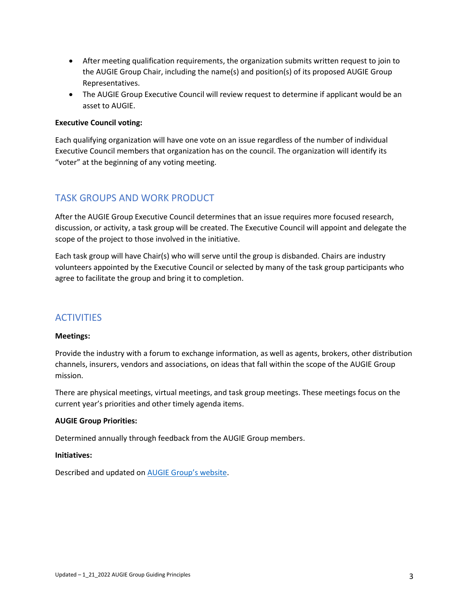- After meeting qualification requirements, the organization submits written request to join to the AUGIE Group Chair, including the name(s) and position(s) of its proposed AUGIE Group Representatives.
- The AUGIE Group Executive Council will review request to determine if applicant would be an asset to AUGIE.

#### Executive Council voting:

Each qualifying organization will have one vote on an issue regardless of the number of individual Executive Council members that organization has on the council. The organization will identify its "voter" at the beginning of any voting meeting.

## TASK GROUPS AND WORK PRODUCT

After the AUGIE Group Executive Council determines that an issue requires more focused research, discussion, or activity, a task group will be created. The Executive Council will appoint and delegate the scope of the project to those involved in the initiative.

Each task group will have Chair(s) who will serve until the group is disbanded. Chairs are industry volunteers appointed by the Executive Council or selected by many of the task group participants who agree to facilitate the group and bring it to completion.

## **ACTIVITIES**

#### Meetings:

Provide the industry with a forum to exchange information, as well as agents, brokers, other distribution channels, insurers, vendors and associations, on ideas that fall within the scope of the AUGIE Group mission.

There are physical meetings, virtual meetings, and task group meetings. These meetings focus on the current year's priorities and other timely agenda items.

#### AUGIE Group Priorities:

Determined annually through feedback from the AUGIE Group members.

#### Initiatives:

Described and updated on AUGIE Group's website.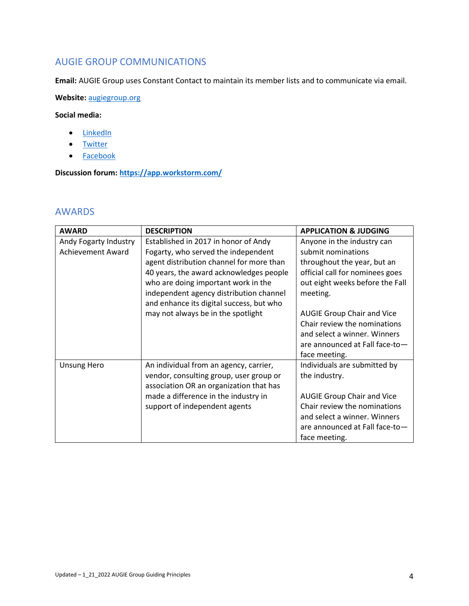## AUGIE GROUP COMMUNICATIONS

Email: AUGIE Group uses Constant Contact to maintain its member lists and to communicate via email.

Website: augiegroup.org

#### Social media:

- LinkedIn
- Twitter
- Facebook

Discussion forum: https://app.workstorm.com/

## AWARDS

| <b>AWARD</b>             | <b>DESCRIPTION</b>                       | <b>APPLICATION &amp; JUDGING</b>  |
|--------------------------|------------------------------------------|-----------------------------------|
| Andy Fogarty Industry    | Established in 2017 in honor of Andy     | Anyone in the industry can        |
| <b>Achievement Award</b> | Fogarty, who served the independent      | submit nominations                |
|                          | agent distribution channel for more than | throughout the year, but an       |
|                          | 40 years, the award acknowledges people  | official call for nominees goes   |
|                          | who are doing important work in the      | out eight weeks before the Fall   |
|                          | independent agency distribution channel  | meeting.                          |
|                          | and enhance its digital success, but who |                                   |
|                          | may not always be in the spotlight       | <b>AUGIE Group Chair and Vice</b> |
|                          |                                          | Chair review the nominations      |
|                          |                                          | and select a winner. Winners      |
|                          |                                          | are announced at Fall face-to-    |
|                          |                                          | face meeting.                     |
| <b>Unsung Hero</b>       | An individual from an agency, carrier,   | Individuals are submitted by      |
|                          | vendor, consulting group, user group or  | the industry.                     |
|                          | association OR an organization that has  |                                   |
|                          | made a difference in the industry in     | <b>AUGIE Group Chair and Vice</b> |
|                          | support of independent agents            | Chair review the nominations      |
|                          |                                          | and select a winner. Winners      |
|                          |                                          | are announced at Fall face-to-    |
|                          |                                          | face meeting.                     |